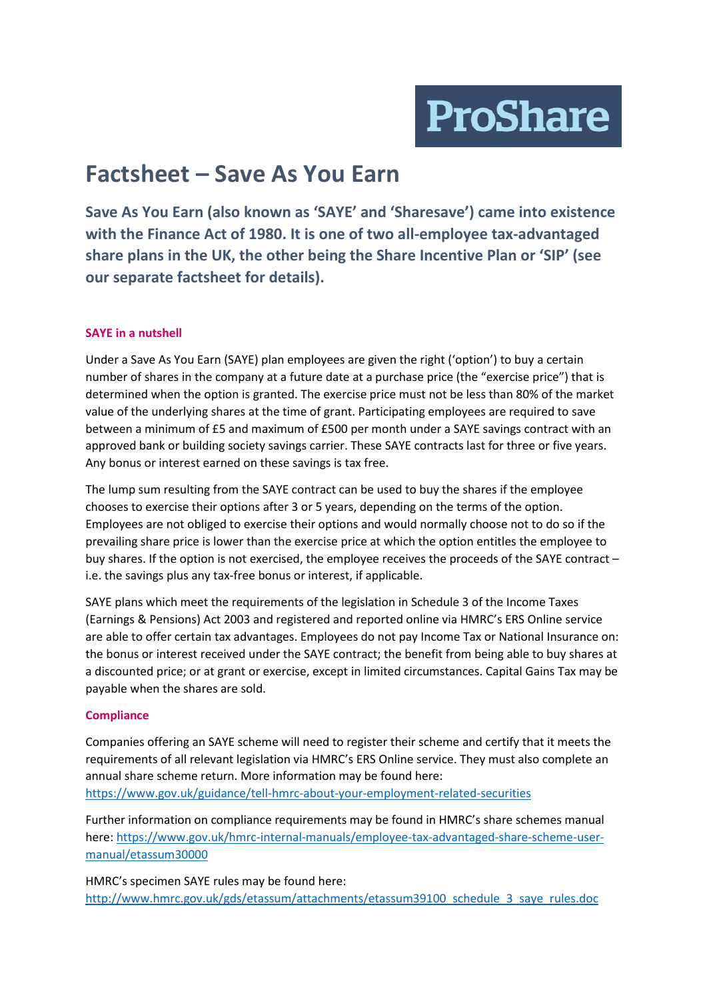**ProShare** 

# **Factsheet – Save As You Earn**

**Save As You Earn (also known as 'SAYE' and 'Sharesave') came into existence with the Finance Act of 1980. It is one of two all-employee tax-advantaged share plans in the UK, the other being the Share Incentive Plan or 'SIP' (see our separate factsheet for details).** 

## **SAYE in a nutshell**

Under a Save As You Earn (SAYE) plan employees are given the right ('option') to buy a certain number of shares in the company at a future date at a purchase price (the "exercise price") that is determined when the option is granted. The exercise price must not be less than 80% of the market value of the underlying shares at the time of grant. Participating employees are required to save between a minimum of £5 and maximum of £500 per month under a SAYE savings contract with an approved bank or building society savings carrier. These SAYE contracts last for three or five years. Any bonus or interest earned on these savings is tax free.

The lump sum resulting from the SAYE contract can be used to buy the shares if the employee chooses to exercise their options after 3 or 5 years, depending on the terms of the option. Employees are not obliged to exercise their options and would normally choose not to do so if the prevailing share price is lower than the exercise price at which the option entitles the employee to buy shares. If the option is not exercised, the employee receives the proceeds of the SAYE contract – i.e. the savings plus any tax-free bonus or interest, if applicable.

SAYE plans which meet the requirements of the legislation in Schedule 3 of the Income Taxes (Earnings & Pensions) Act 2003 and registered and reported online via HMRC's ERS Online service are able to offer certain tax advantages. Employees do not pay Income Tax or National Insurance on: the bonus or interest received under the SAYE contract; the benefit from being able to buy shares at a discounted price; or at grant or exercise, except in limited circumstances. Capital Gains Tax may be payable when the shares are sold.

### **Compliance**

Companies offering an SAYE scheme will need to register their scheme and certify that it meets the requirements of all relevant legislation via HMRC's ERS Online service. They must also complete an annual share scheme return. More information may be found here: <https://www.gov.uk/guidance/tell-hmrc-about-your-employment-related-securities>

Further information on compliance requirements may be found in HMRC's share schemes manual here: [https://www.gov.uk/hmrc-internal-manuals/employee-tax-advantaged-share-scheme-user](https://www.gov.uk/hmrc-internal-manuals/employee-tax-advantaged-share-scheme-user-manual/etassum30000)[manual/etassum30000](https://www.gov.uk/hmrc-internal-manuals/employee-tax-advantaged-share-scheme-user-manual/etassum30000)

HMRC's specimen SAYE rules may be found here: [http://www.hmrc.gov.uk/gds/etassum/attachments/etassum39100\\_schedule\\_3\\_saye\\_rules.doc](http://www.hmrc.gov.uk/gds/etassum/attachments/etassum39100_schedule_3_saye_rules.doc)